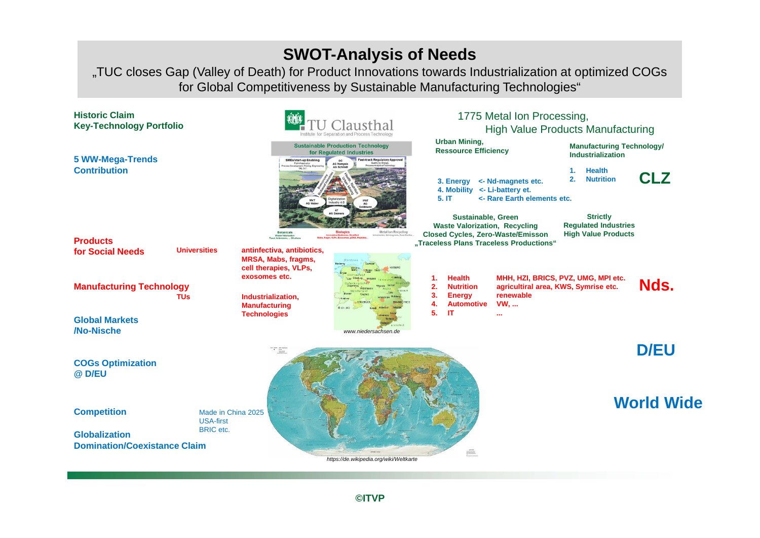## **SWOT-Analysis of Needs**

"TUC closes Gap (Valley of Death) for Product Innovations towards Industrialization at optimized COGs for Global Competitiveness by Sustainable Manufacturing Technologies"



**©ITVP**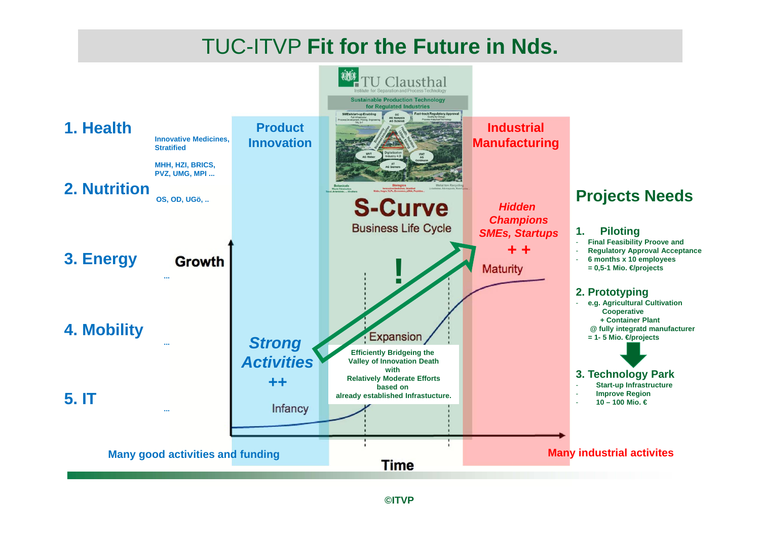# TUC-ITVP **Fit for the Future in Nds.**

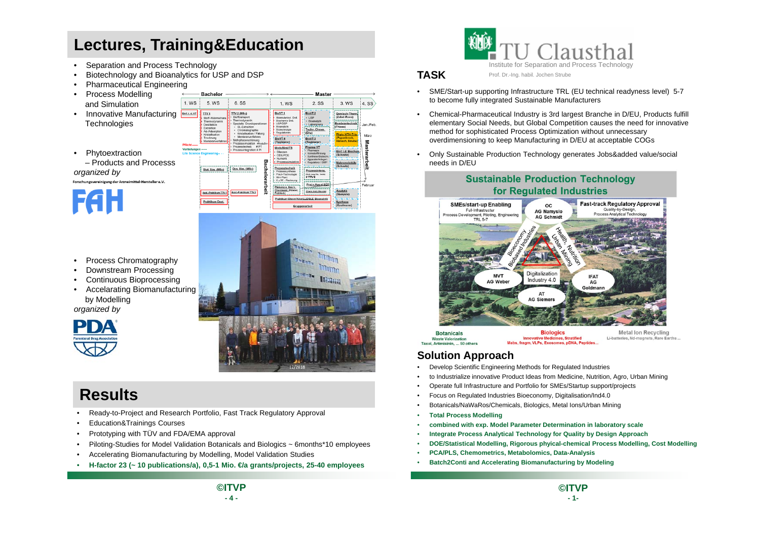## **Lectures, Training&Education**

1. WS

Pflicht. Vertiefungen

Bachelor

 $5. WS$ 

Stat. Sim. (MSc)

Aust-Praktikum TTV1 Praktikum Dest.

 $\sqrt{1 + \frac{1}{2}}$ 

6. SS

TTV 2 (MSc)

Dyn. Sim. (MSc)

Aust-Praktikum TTV 2

- •Separation and Process Technology
- •Biotechnology and Bioanalytics for USP and DSP
- •Pharmaceutical Engineering
- • Process Modelling and Simulation
- Innovative Manufacturing **Technologies**
- • Phytoextraction – Products and Processs

*organized by* Forschungsvereinigung der Arzneimittel-Hersteller e.V.

**FAH** 

- •Process Chromatography
- •Downstream Processing
- •Continuous Bioprocessing
- Accelarating Biomanufacturing by Modelling

*organized by*



## **Results**

- •Ready-to-Project and Research Portfolio, Fast Track Regulatory Approval
- •Education&Trainings Courses
- •Prototyping with TÜV and FDA/EMA approval
- •Piloting-Studies for Model Validation Botanicals and Biologics ~ 6months\*10 employees
- •Accelerating Biomanufacturing by Modelling, Model Validation Studies
- •**H-factor** 23 (∼ 10 publications/a), 0,5-1 Mio. €a grants/projects, 25-40 employees



#### **TASK**

**Master** 

 $4.$  SS.

lan /Feb

März

 $\sum_{n=1}^{\infty}$ 

 $3 WS$ 

sch-The

**IN NTH.TH** 

Analytik<br>(Namyslo)

Synthese<br>Kaufmann

**Italian** 

 $2$  SS

BioVT<sub>2</sub>

Laborpraxi

Techn. Chrom

Prozessinten (feck, Lang, Ditz, Strube)<br># TTV II

Proj.v.App.d.SUT

Chem.Ind.i.Wande

BioVT 3

1. WS

BioVT<sub>1</sub>

BioVT4<br>(Tegtmeier)

- • SME/Start-up supporting Infrastructure TRL (EU technical readyness level) 5-7 to become fully integrated Sustainable Manufacturers
- • Chemical-Pharmaceutical Industry is 3rd largest Branche in D/EU, Products fulfill elementary Social Needs, but Global Competition causes the need for innovative method for sophisticated Process Optimization without unnecessary overdimensioning to keep Manufacturing in D/EU at acceptable COGs
- Only Sustainable Production Technology generates Jobs&added value/social needs in D/EU

**Sustainable Production Technology** 



**Botanicals Waste Valorization** Tavol Artimicinin 50 other

**Biologics Innovative Medicines, Stratified** Mabs, fragm, VLPs, Exosomes, pDNA, Peptides.

**Metal Ion Recycling** Li-batteries, Nd-magnets, Rare Earths

#### **Solution Approach**

- •Develop Scientific Engineering Methods for Regulated Industries
- •to Industrialize innovative Product Ideas from Medicine, Nutrition, Agro, Urban Mining
- •Operate full Infrastructure and Portfolio for SMEs/Startup support/projects
- •Focus on Regulated Industries Bioeconomy, Digitalisation/Ind4.0
- •Botanicals/NaWaRos/Chemicals, Biologics, Metal Ions/Urban Mining
- •**Total Process Modelling**
- •**combined with exp. Model Parameter Determination in laboratory scale**
- •**Integrate Process Analytical Technology for Quality by Design Approach**
- •**DOE/Statistical Modelling, Rigorous phyical-chemical Process Modelling, Cost Modelling**
- •**PCA/PLS, Chemometrics, Metabolomics, Data-Analysis**
- •**Batch2Conti and Accelerating Biomanufacturing by Modeling**